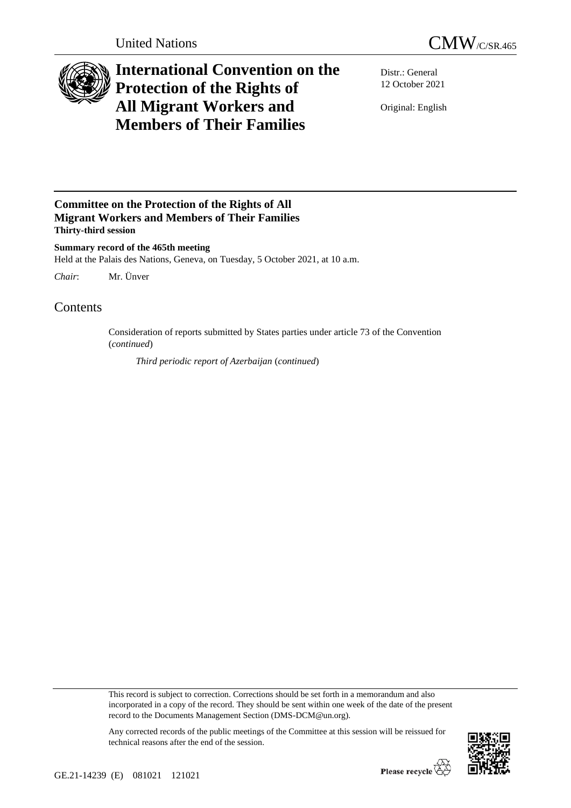

## **International Convention on the Protection of the Rights of All Migrant Workers and Members of Their Families**

Distr.: General 12 October 2021

Original: English

## **Committee on the Protection of the Rights of All Migrant Workers and Members of Their Families Thirty-third session**

**Summary record of the 465th meeting** Held at the Palais des Nations, Geneva, on Tuesday, 5 October 2021, at 10 a.m.

*Chair*: Mr. Ünver

## **Contents**

Consideration of reports submitted by States parties under article 73 of the Convention (*continued*)

*Third periodic report of Azerbaijan* (*continued*)

This record is subject to correction. Corrections should be set forth in a memorandum and also incorporated in a copy of the record. They should be sent within one week of the date of the present record to the Documents Management Section (DMS-DCM@un.org).



Any corrected records of the public meetings of the Committee at this session will be reissued for technical reasons after the end of the session.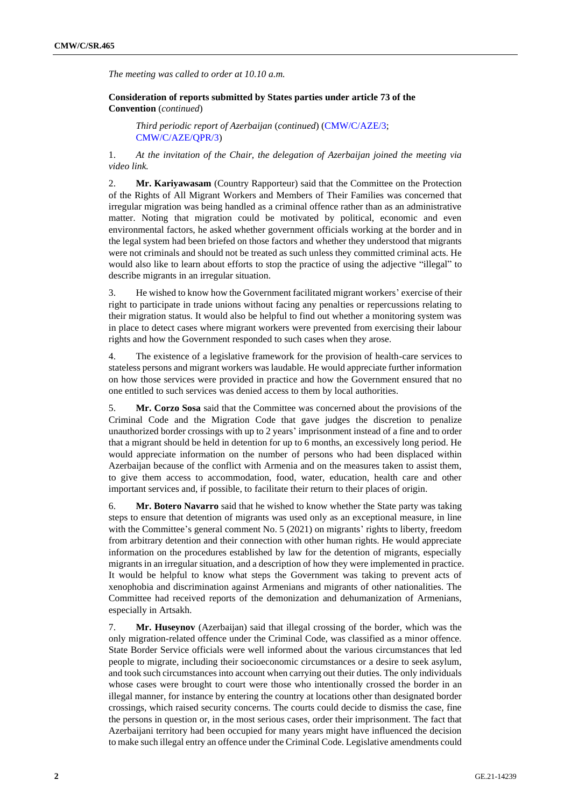*The meeting was called to order at 10.10 a.m.*

**Consideration of reports submitted by States parties under article 73 of the Convention** (*continued*)

*Third periodic report of Azerbaijan* (*continued*) [\(CMW/C/AZE/3;](https://undocs.org/en/CMW/C/AZE/3) [CMW/C/AZE/QPR/3\)](http://undocs.org/en/CMW/C/AZE/QPR/3)

1. *At the invitation of the Chair, the delegation of Azerbaijan joined the meeting via video link.*

2. **Mr. Kariyawasam** (Country Rapporteur) said that the Committee on the Protection of the Rights of All Migrant Workers and Members of Their Families was concerned that irregular migration was being handled as a criminal offence rather than as an administrative matter. Noting that migration could be motivated by political, economic and even environmental factors, he asked whether government officials working at the border and in the legal system had been briefed on those factors and whether they understood that migrants were not criminals and should not be treated as such unless they committed criminal acts. He would also like to learn about efforts to stop the practice of using the adjective "illegal" to describe migrants in an irregular situation.

3. He wished to know how the Government facilitated migrant workers' exercise of their right to participate in trade unions without facing any penalties or repercussions relating to their migration status. It would also be helpful to find out whether a monitoring system was in place to detect cases where migrant workers were prevented from exercising their labour rights and how the Government responded to such cases when they arose.

4. The existence of a legislative framework for the provision of health-care services to stateless persons and migrant workers was laudable. He would appreciate further information on how those services were provided in practice and how the Government ensured that no one entitled to such services was denied access to them by local authorities.

5. **Mr. Corzo Sosa** said that the Committee was concerned about the provisions of the Criminal Code and the Migration Code that gave judges the discretion to penalize unauthorized border crossings with up to 2 years' imprisonment instead of a fine and to order that a migrant should be held in detention for up to 6 months, an excessively long period. He would appreciate information on the number of persons who had been displaced within Azerbaijan because of the conflict with Armenia and on the measures taken to assist them, to give them access to accommodation, food, water, education, health care and other important services and, if possible, to facilitate their return to their places of origin.

6. **Mr. Botero Navarro** said that he wished to know whether the State party was taking steps to ensure that detention of migrants was used only as an exceptional measure, in line with the Committee's general comment No. 5 (2021) on migrants' rights to liberty, freedom from arbitrary detention and their connection with other human rights. He would appreciate information on the procedures established by law for the detention of migrants, especially migrants in an irregular situation, and a description of how they were implemented in practice. It would be helpful to know what steps the Government was taking to prevent acts of xenophobia and discrimination against Armenians and migrants of other nationalities. The Committee had received reports of the demonization and dehumanization of Armenians, especially in Artsakh.

7. **Mr. Huseynov** (Azerbaijan) said that illegal crossing of the border, which was the only migration-related offence under the Criminal Code, was classified as a minor offence. State Border Service officials were well informed about the various circumstances that led people to migrate, including their socioeconomic circumstances or a desire to seek asylum, and took such circumstances into account when carrying out their duties. The only individuals whose cases were brought to court were those who intentionally crossed the border in an illegal manner, for instance by entering the country at locations other than designated border crossings, which raised security concerns. The courts could decide to dismiss the case, fine the persons in question or, in the most serious cases, order their imprisonment. The fact that Azerbaijani territory had been occupied for many years might have influenced the decision to make such illegal entry an offence under the Criminal Code. Legislative amendments could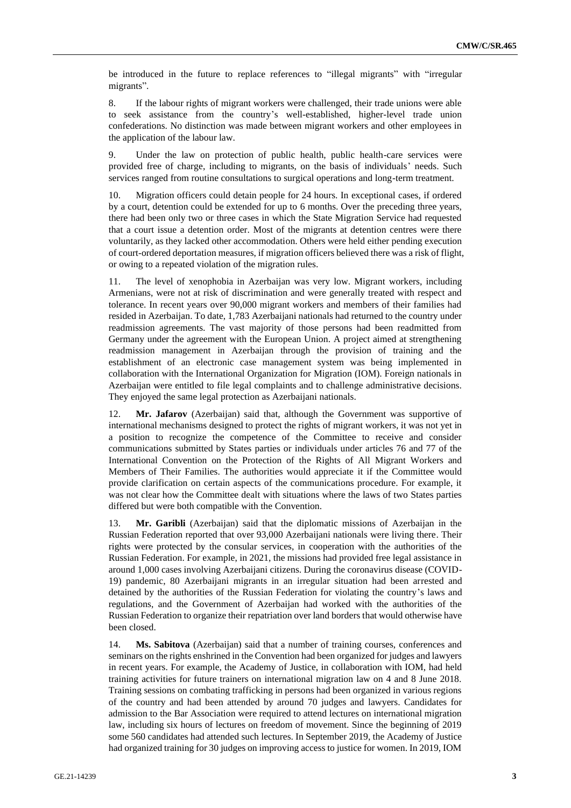be introduced in the future to replace references to "illegal migrants" with "irregular migrants".

8. If the labour rights of migrant workers were challenged, their trade unions were able to seek assistance from the country's well-established, higher-level trade union confederations. No distinction was made between migrant workers and other employees in the application of the labour law.

9. Under the law on protection of public health, public health-care services were provided free of charge, including to migrants, on the basis of individuals' needs. Such services ranged from routine consultations to surgical operations and long-term treatment.

10. Migration officers could detain people for 24 hours. In exceptional cases, if ordered by a court, detention could be extended for up to 6 months. Over the preceding three years, there had been only two or three cases in which the State Migration Service had requested that a court issue a detention order. Most of the migrants at detention centres were there voluntarily, as they lacked other accommodation. Others were held either pending execution of court-ordered deportation measures, if migration officers believed there was a risk of flight, or owing to a repeated violation of the migration rules.

11. The level of xenophobia in Azerbaijan was very low. Migrant workers, including Armenians, were not at risk of discrimination and were generally treated with respect and tolerance. In recent years over 90,000 migrant workers and members of their families had resided in Azerbaijan. To date, 1,783 Azerbaijani nationals had returned to the country under readmission agreements. The vast majority of those persons had been readmitted from Germany under the agreement with the European Union. A project aimed at strengthening readmission management in Azerbaijan through the provision of training and the establishment of an electronic case management system was being implemented in collaboration with the International Organization for Migration (IOM). Foreign nationals in Azerbaijan were entitled to file legal complaints and to challenge administrative decisions. They enjoyed the same legal protection as Azerbaijani nationals.

12. **Mr. Jafarov** (Azerbaijan) said that, although the Government was supportive of international mechanisms designed to protect the rights of migrant workers, it was not yet in a position to recognize the competence of the Committee to receive and consider communications submitted by States parties or individuals under articles 76 and 77 of the International Convention on the Protection of the Rights of All Migrant Workers and Members of Their Families. The authorities would appreciate it if the Committee would provide clarification on certain aspects of the communications procedure. For example, it was not clear how the Committee dealt with situations where the laws of two States parties differed but were both compatible with the Convention.

13. **Mr. Garibli** (Azerbaijan) said that the diplomatic missions of Azerbaijan in the Russian Federation reported that over 93,000 Azerbaijani nationals were living there. Their rights were protected by the consular services, in cooperation with the authorities of the Russian Federation. For example, in 2021, the missions had provided free legal assistance in around 1,000 cases involving Azerbaijani citizens. During the coronavirus disease (COVID-19) pandemic, 80 Azerbaijani migrants in an irregular situation had been arrested and detained by the authorities of the Russian Federation for violating the country's laws and regulations, and the Government of Azerbaijan had worked with the authorities of the Russian Federation to organize their repatriation over land borders that would otherwise have been closed.

14. **Ms. Sabitova** (Azerbaijan) said that a number of training courses, conferences and seminars on the rights enshrined in the Convention had been organized for judges and lawyers in recent years. For example, the Academy of Justice, in collaboration with IOM, had held training activities for future trainers on international migration law on 4 and 8 June 2018. Training sessions on combating trafficking in persons had been organized in various regions of the country and had been attended by around 70 judges and lawyers. Candidates for admission to the Bar Association were required to attend lectures on international migration law, including six hours of lectures on freedom of movement. Since the beginning of 2019 some 560 candidates had attended such lectures. In September 2019, the Academy of Justice had organized training for 30 judges on improving access to justice for women. In 2019, IOM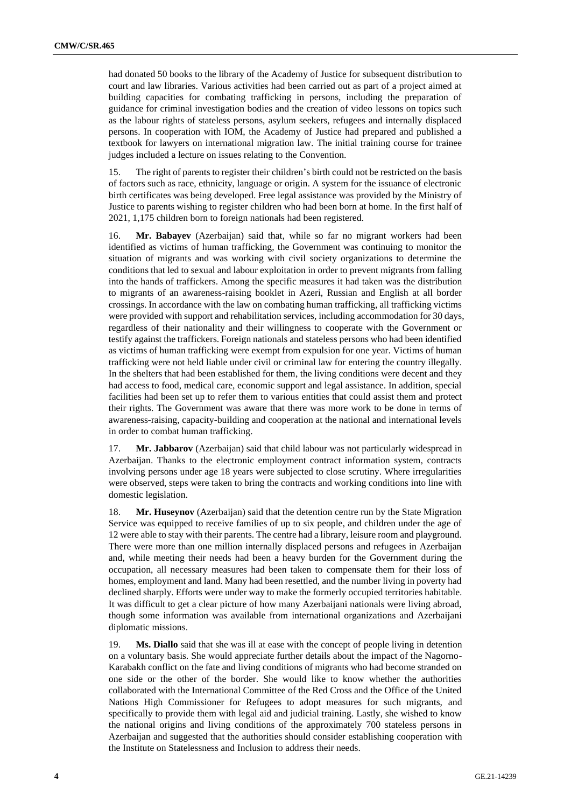had donated 50 books to the library of the Academy of Justice for subsequent distribution to court and law libraries. Various activities had been carried out as part of a project aimed at building capacities for combating trafficking in persons, including the preparation of guidance for criminal investigation bodies and the creation of video lessons on topics such as the labour rights of stateless persons, asylum seekers, refugees and internally displaced persons. In cooperation with IOM, the Academy of Justice had prepared and published a textbook for lawyers on international migration law. The initial training course for trainee judges included a lecture on issues relating to the Convention.

15. The right of parents to register their children's birth could not be restricted on the basis of factors such as race, ethnicity, language or origin. A system for the issuance of electronic birth certificates was being developed. Free legal assistance was provided by the Ministry of Justice to parents wishing to register children who had been born at home. In the first half of 2021, 1,175 children born to foreign nationals had been registered.

16. **Mr. Babayev** (Azerbaijan) said that, while so far no migrant workers had been identified as victims of human trafficking, the Government was continuing to monitor the situation of migrants and was working with civil society organizations to determine the conditions that led to sexual and labour exploitation in order to prevent migrants from falling into the hands of traffickers. Among the specific measures it had taken was the distribution to migrants of an awareness-raising booklet in Azeri, Russian and English at all border crossings. In accordance with the law on combating human trafficking, all trafficking victims were provided with support and rehabilitation services, including accommodation for 30 days, regardless of their nationality and their willingness to cooperate with the Government or testify against the traffickers. Foreign nationals and stateless persons who had been identified as victims of human trafficking were exempt from expulsion for one year. Victims of human trafficking were not held liable under civil or criminal law for entering the country illegally. In the shelters that had been established for them, the living conditions were decent and they had access to food, medical care, economic support and legal assistance. In addition, special facilities had been set up to refer them to various entities that could assist them and protect their rights. The Government was aware that there was more work to be done in terms of awareness-raising, capacity-building and cooperation at the national and international levels in order to combat human trafficking.

17. **Mr. Jabbarov** (Azerbaijan) said that child labour was not particularly widespread in Azerbaijan. Thanks to the electronic employment contract information system, contracts involving persons under age 18 years were subjected to close scrutiny. Where irregularities were observed, steps were taken to bring the contracts and working conditions into line with domestic legislation.

18. **Mr. Huseynov** (Azerbaijan) said that the detention centre run by the State Migration Service was equipped to receive families of up to six people, and children under the age of 12 were able to stay with their parents. The centre had a library, leisure room and playground. There were more than one million internally displaced persons and refugees in Azerbaijan and, while meeting their needs had been a heavy burden for the Government during the occupation, all necessary measures had been taken to compensate them for their loss of homes, employment and land. Many had been resettled, and the number living in poverty had declined sharply. Efforts were under way to make the formerly occupied territories habitable. It was difficult to get a clear picture of how many Azerbaijani nationals were living abroad, though some information was available from international organizations and Azerbaijani diplomatic missions.

19. **Ms. Diallo** said that she was ill at ease with the concept of people living in detention on a voluntary basis. She would appreciate further details about the impact of the Nagorno-Karabakh conflict on the fate and living conditions of migrants who had become stranded on one side or the other of the border. She would like to know whether the authorities collaborated with the International Committee of the Red Cross and the Office of the United Nations High Commissioner for Refugees to adopt measures for such migrants, and specifically to provide them with legal aid and judicial training. Lastly, she wished to know the national origins and living conditions of the approximately 700 stateless persons in Azerbaijan and suggested that the authorities should consider establishing cooperation with the Institute on Statelessness and Inclusion to address their needs.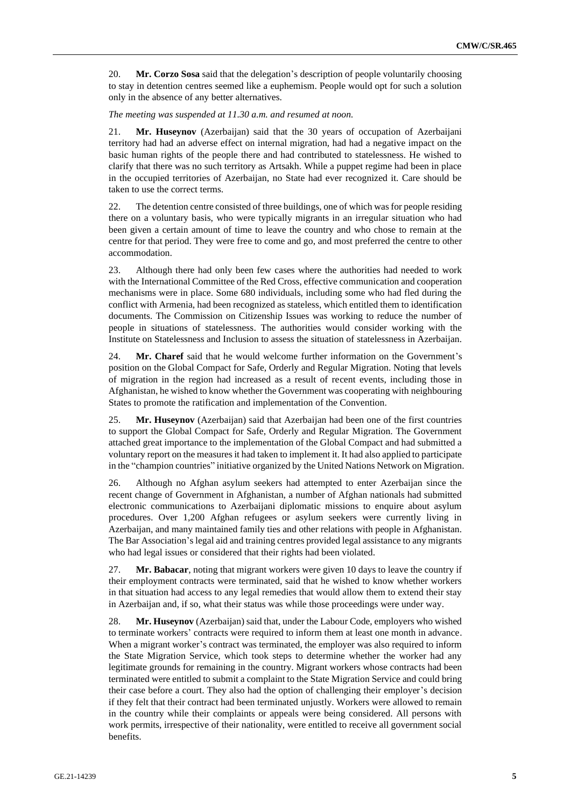20. **Mr. Corzo Sosa** said that the delegation's description of people voluntarily choosing to stay in detention centres seemed like a euphemism. People would opt for such a solution only in the absence of any better alternatives.

## *The meeting was suspended at 11.30 a.m. and resumed at noon.*

21. **Mr. Huseynov** (Azerbaijan) said that the 30 years of occupation of Azerbaijani territory had had an adverse effect on internal migration, had had a negative impact on the basic human rights of the people there and had contributed to statelessness. He wished to clarify that there was no such territory as Artsakh. While a puppet regime had been in place in the occupied territories of Azerbaijan, no State had ever recognized it. Care should be taken to use the correct terms.

22. The detention centre consisted of three buildings, one of which was for people residing there on a voluntary basis, who were typically migrants in an irregular situation who had been given a certain amount of time to leave the country and who chose to remain at the centre for that period. They were free to come and go, and most preferred the centre to other accommodation.

23. Although there had only been few cases where the authorities had needed to work with the International Committee of the Red Cross, effective communication and cooperation mechanisms were in place. Some 680 individuals, including some who had fled during the conflict with Armenia, had been recognized as stateless, which entitled them to identification documents. The Commission on Citizenship Issues was working to reduce the number of people in situations of statelessness. The authorities would consider working with the Institute on Statelessness and Inclusion to assess the situation of statelessness in Azerbaijan.

24. **Mr. Charef** said that he would welcome further information on the Government's position on the Global Compact for Safe, Orderly and Regular Migration. Noting that levels of migration in the region had increased as a result of recent events, including those in Afghanistan, he wished to know whether the Government was cooperating with neighbouring States to promote the ratification and implementation of the Convention.

25. **Mr. Huseynov** (Azerbaijan) said that Azerbaijan had been one of the first countries to support the Global Compact for Safe, Orderly and Regular Migration. The Government attached great importance to the implementation of the Global Compact and had submitted a voluntary report on the measures it had taken to implement it. It had also applied to participate in the "champion countries" initiative organized by the United Nations Network on Migration.

26. Although no Afghan asylum seekers had attempted to enter Azerbaijan since the recent change of Government in Afghanistan, a number of Afghan nationals had submitted electronic communications to Azerbaijani diplomatic missions to enquire about asylum procedures. Over 1,200 Afghan refugees or asylum seekers were currently living in Azerbaijan, and many maintained family ties and other relations with people in Afghanistan. The Bar Association's legal aid and training centres provided legal assistance to any migrants who had legal issues or considered that their rights had been violated.

27. **Mr. Babacar**, noting that migrant workers were given 10 days to leave the country if their employment contracts were terminated, said that he wished to know whether workers in that situation had access to any legal remedies that would allow them to extend their stay in Azerbaijan and, if so, what their status was while those proceedings were under way.

28. **Mr. Huseynov** (Azerbaijan) said that, under the Labour Code, employers who wished to terminate workers' contracts were required to inform them at least one month in advance. When a migrant worker's contract was terminated, the employer was also required to inform the State Migration Service, which took steps to determine whether the worker had any legitimate grounds for remaining in the country. Migrant workers whose contracts had been terminated were entitled to submit a complaint to the State Migration Service and could bring their case before a court. They also had the option of challenging their employer's decision if they felt that their contract had been terminated unjustly. Workers were allowed to remain in the country while their complaints or appeals were being considered. All persons with work permits, irrespective of their nationality, were entitled to receive all government social benefits.